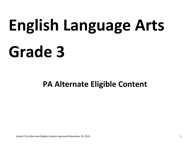# **English Language Arts Grade 3**

# **PA Alternate Eligible Content**

Grade 3 ELA Alternate Eligible Content Approved November 19, 2015 1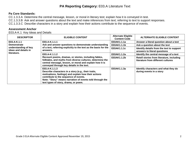#### **Pa Core Standards:**

CC.1.3.3.A Determine the central message, lesson, or moral in literary test; explain how it is conveyed in test.

CC.1.3.3.B Ask and answer questions about the text and make inferences from text; referring to text to support responses.

CC.1.3.3.C Describe characters in a story and explain how their actions contribute to the sequence of events.

#### **Assessment Anchor**

E03.A-K.1 Key Ideas and Details

| <b>DESCRIPTOR</b>                            | <b>ELIGIBLE CONTENT</b>                                                                                                                                                                                                                                                   | <b>Alternate Eligible</b><br><b>Content Code</b> | <b>ALTERNATE ELIGIBLE CONTENT</b>                                               |
|----------------------------------------------|---------------------------------------------------------------------------------------------------------------------------------------------------------------------------------------------------------------------------------------------------------------------------|--------------------------------------------------|---------------------------------------------------------------------------------|
| E03.A-K.1.1                                  | E03.A-K.1.1.1<br>Ask and answer questions to demonstrate understanding<br>of a text, referring explicitly to the text as the basis for the<br>answers.                                                                                                                    | E03AK1.1.1a                                      | Answer a literal question about a text                                          |
| <b>Demonstrate</b>                           |                                                                                                                                                                                                                                                                           | E03AK1.1.1b                                      | Ask a question about the text                                                   |
| understanding of key<br>ideas and details in |                                                                                                                                                                                                                                                                           | E03AK1.1.1c                                      | Identify details from the text to support<br>answers to literal questions       |
| literature.                                  | E03.A-K.1.1.2<br>Recount poems, dramas, or stories, including fables,<br>folktales, and myths from diverse cultures; determine the<br>central message, lesson, or moral and explain how it is<br>conveyed through key details in the text.                                | E03AK1.1.2a                                      | Identify the central message of a text                                          |
|                                              |                                                                                                                                                                                                                                                                           | E03AK1.1.2b                                      | Retell stories from literature, including<br>literature from different cultures |
|                                              | E03.A-K.1.1.3<br>Describe characters in a story (e.g., their traits,<br>motivations, feelings) and explain how their actions<br>contribute to the sequence of events.<br>Note: "Story" means narration of events told through the<br>text types of story, drama, or poem. | E03AK1.1.3a                                      | Identify characters and what they do<br>during events in a story                |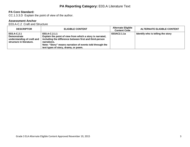# **PA Core Standard:**

CC.1.3.3.D Explain the point of view of the author.

# **Assessment Anchor**

E03.A-C.2 Craft and Structure

| <b>DESCRIPTOR</b>                                                                           | <b>ELIGIBLE CONTENT</b>                                                                                                                                                                                                                                  | <b>Alternate Eligible</b><br><b>Content Code</b> | <b>ALTERNATE ELIGIBLE CONTENT</b> |
|---------------------------------------------------------------------------------------------|----------------------------------------------------------------------------------------------------------------------------------------------------------------------------------------------------------------------------------------------------------|--------------------------------------------------|-----------------------------------|
| E03.A-C.2.1<br><b>Demonstrate</b><br>understanding of craft and<br>structure in literature. | E03.A-C.2.1.1<br>Explain the point of view from which a story is narrated,<br>including the difference between first and third-person<br>narrations.<br>Note: "Story" means narration of events told through the<br>text types of story, drama, or poem. | E03AC2.1.1a                                      | Identify who is telling the story |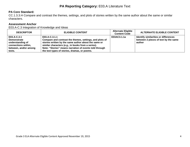# **PA Core Standard:**

CC.1.3.3.H Compare and contrast the themes, settings, and plots of stories written by the same author about the same or similar characters.

# **Assessment Anchor**

E03.A-C.3 Integration of Knowledge and Ideas

| <b>DESCRIPTOR</b>                                                                                               | <b>ELIGIBLE CONTENT</b>                                                                                                                                                                                                                                                                          | <b>Alternate Eligible</b><br><b>Content Code</b> | <b>ALTERNATE ELIGIBLE CONTENT</b>                                                      |
|-----------------------------------------------------------------------------------------------------------------|--------------------------------------------------------------------------------------------------------------------------------------------------------------------------------------------------------------------------------------------------------------------------------------------------|--------------------------------------------------|----------------------------------------------------------------------------------------|
| E03.A-C.3.1<br><b>Demonstrate</b><br>understanding of<br>connections within,<br>between, and/or among<br>texts. | E03.A-C.3.1.1<br>Compare and contrast the themes, settings, and plots of<br>stories written by the same author about the same or<br>similar characters (e.g., in books from a series).<br>Note: "Stories" means narration of events told through<br>the text types of stories, dramas, or poems. | E03AC3.1.1a                                      | Identify similarities or differences<br>between 2 pieces of text by the same<br>author |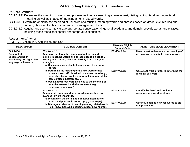### **PA Core Standard**

- CC.1.3.3.F Determine the meaning of words and phrases as they are used in grade-level text, distinguishing literal from non-literal meaning as well as shades of meaning among related words.
- CC.1.3.3.I Determine or clarify the meaning of unknown and multiple-meaning words and phrases based on grade-level reading and content, choosing flexibly from a range of strategies and tools.
- CC.1.3.3.J Acquire and use accurately grade-appropriate conversational, general academic, and domain-specific words and phrases, including those that signal spatial and temporal relationships.

#### **Assessment Anchor**

E03.A-V.4 Vocabulary Acquisition and Use

| <b>DESCRIPTOR</b>                                                                                                                                                                                                                                                                                                                                                                    | <b>ELIGIBLE CONTENT</b>                                                                                                                                                                                                                                                                                                   | <b>Alternate Eligible</b><br><b>Content Code</b>                               | <b>ALTERNATE ELIGIBLE CONTENT</b>                                   |
|--------------------------------------------------------------------------------------------------------------------------------------------------------------------------------------------------------------------------------------------------------------------------------------------------------------------------------------------------------------------------------------|---------------------------------------------------------------------------------------------------------------------------------------------------------------------------------------------------------------------------------------------------------------------------------------------------------------------------|--------------------------------------------------------------------------------|---------------------------------------------------------------------|
| E03.A-V.4.1.1<br>E03.A-V.4.1<br>Determine or clarify the meaning of unknown and<br><b>Demonstrate</b><br>multiple-meaning words and phrases based on grade 3<br>understanding of<br>reading and content, choosing flexibly from a range of<br>vocabulary and figurative<br>language in literature.<br>strategies.<br>a. Use context as a clue to the meaning of a word or<br>phrase. | E03AV4.1.1a                                                                                                                                                                                                                                                                                                               | Use context to determine the meaning of<br>an unknown or multiple meaning word |                                                                     |
|                                                                                                                                                                                                                                                                                                                                                                                      | b. Determine the meaning of the new word formed<br>when a known affix is added to a known word (e.g.,<br>agreeable/disagreeable, comfortable/uncomfortable,<br>care/careless, heat/preheat).<br>c. Use a known root word as a clue to the meaning of<br>an unknown word with the same root (e.g.,<br>company, companion). | E03AV4.1.1b                                                                    | Use a root word or affix to determine the<br>meaning of a word      |
|                                                                                                                                                                                                                                                                                                                                                                                      | E03.A-V.4.1.2<br>Demonstrate understanding of word relationships and<br>nuances in word meanings.<br>a. Distinguish the literal and nonliteral meanings of                                                                                                                                                                | E03AV4.1.2a                                                                    | Identify the literal and nonliteral<br>meanings of a word or phrase |
| words and phrases in context (e.g., take steps).<br>b. Distinguish shades of meaning among related words<br>(e.g., knew, believed, suspected, heard, wondered).                                                                                                                                                                                                                      | E03AV4.1.2b                                                                                                                                                                                                                                                                                                               | Use relationships between words to aid<br>comprehension                        |                                                                     |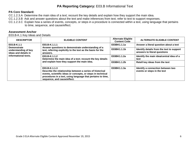#### **PA Core Standard:**

CC.1.2.3.A Determine the main idea of a text; recount the key details and explain how they support the main idea.

CC.1.2.3.B Ask and answer questions about the text and make inferences from text; refer to text to support responses.

CC.1.2.3.C Explain how a series of events, concepts, or steps in a procedure is connected within a text, using language that pertains to time, sequence, and cause/effect.

#### **Assessment Anchor**

E03.B-K.1 Key Ideas and Details

| <b>DESCRIPTOR</b>                                                                                         | <b>ELIGIBLE CONTENT</b>                                                                                                                                                                                                                | <b>Alternate Eligible</b><br><b>Content Code</b> | <b>ALTERNATE ELIGIBLE CONTENT</b>                                         |
|-----------------------------------------------------------------------------------------------------------|----------------------------------------------------------------------------------------------------------------------------------------------------------------------------------------------------------------------------------------|--------------------------------------------------|---------------------------------------------------------------------------|
| E03.B-K.1.1<br><b>Demonstrate</b><br>understanding of key<br>ideas and details in<br>informational texts. | E03.B-K.1.1.1<br>Answer questions to demonstrate understanding of a<br>text, referring explicitly to the text as the basis for the<br>answers.                                                                                         | E03BK1.1.1a                                      | Answer a literal question about a text                                    |
|                                                                                                           |                                                                                                                                                                                                                                        | E03BK1.1.1b                                      | Identify details from the text to support<br>answers to literal questions |
|                                                                                                           | E03.B-K.1.1.2<br>Determine the main idea of a text; recount the key details<br>and explain how they support the main idea.                                                                                                             | E03BK1.1.2a                                      | Identify the main idea/central idea of a<br>text                          |
|                                                                                                           |                                                                                                                                                                                                                                        | E03BK1.1.2b                                      | Retell key ideas from the text                                            |
|                                                                                                           | E03.B-K.1.1.3<br>Describe the relationship between a series of historical<br>events, scientific ideas or concepts, or steps in technical<br>procedures in a text, using language that pertains to time,<br>sequence, and cause/effect. | E03BK1.1.3a                                      | Identify a connection between two<br>events or steps in the text          |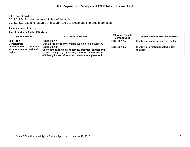# **PA Core Standard:**

CC.1.2.3.D Explain the point of view of the author. CC.1.2.3.E Use text features and search tools to locate and interpret information.

#### **Assessment Anchor**

E03.B-C.2 Craft and Structure

| <b>DESCRIPTOR</b>                                                  | <b>ELIGIBLE CONTENT</b>                                                                                                                                                                             | <b>Alternate Eligible</b><br><b>Content Code</b> | <b>ALTERNATE ELIGIBLE CONTENT</b>                |
|--------------------------------------------------------------------|-----------------------------------------------------------------------------------------------------------------------------------------------------------------------------------------------------|--------------------------------------------------|--------------------------------------------------|
| E03.B-C.2.1<br><b>Demonstrate</b>                                  | E03.B-C.2.1.1<br>Explain the point of view from which a text is written.                                                                                                                            | E03BC2.1.1a                                      | Identify one point-of-view in the text           |
| understanding of craft and<br>structure in informational<br>texts. | $E03.B-C.2.1.2$<br>Use text features (e.g., headings, graphics, charts) and<br>search tools (e.g., key words, sidebars, hyperlinks) to<br>efficiently locate information relevant to a given topic. | E03BC2.1.2a                                      | Identify information located in text<br>features |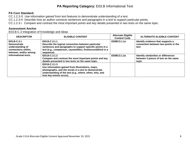### **PA Core Standard:**

CC.1.2.3.G Use information gained from text features to demonstrate understanding of a text.

CC.1.2.3.H Describe how an author connects sentences and paragraphs in a text to support particular points.

CC.1.2.3.I Compare and contrast the most important points and key details presented in two texts on the same topic.

# **Assessment Anchor**

E03.B-C.3 Integration of Knowledge and Ideas

| <b>DESCRIPTOR</b>                                                                                                             | <b>ELIGIBLE CONTENT</b>                                                                                                                                                                                        | <b>Alternate Eligible</b><br><b>Content Code</b> | <b>ALTERNATE ELIGIBLE CONTENT</b>                                                     |
|-------------------------------------------------------------------------------------------------------------------------------|----------------------------------------------------------------------------------------------------------------------------------------------------------------------------------------------------------------|--------------------------------------------------|---------------------------------------------------------------------------------------|
| E03.B-C.3.1<br><b>Demonstrate</b><br>understanding of<br>connections within,<br>between, and/or among<br>informational texts. | E03.B-C.3.1.1<br>Describe the logical connection between particular<br>sentences and paragraphs to support specific points in a<br>text (e.g., comparison, cause/effect, first/second/third in a<br>sequence). | E03BC3.1.1a                                      | Identify evidence that supports a<br>connection between two points in the<br>text     |
|                                                                                                                               | $E03.B-C.3.1.2$<br>Compare and contrast the most important points and key<br>details presented in two texts on the same topic.                                                                                 | E03BC3.1.2a                                      | Identify similarities or differences<br>between 2 pieces of text on the same<br>topic |
|                                                                                                                               | E03.B-C.3.1.3<br>Use information gained from illustrations, maps,<br>photographs, and the words in a text to demonstrate<br>understanding of the text (e.g., where, when, why, and<br>how key events occur).   |                                                  |                                                                                       |